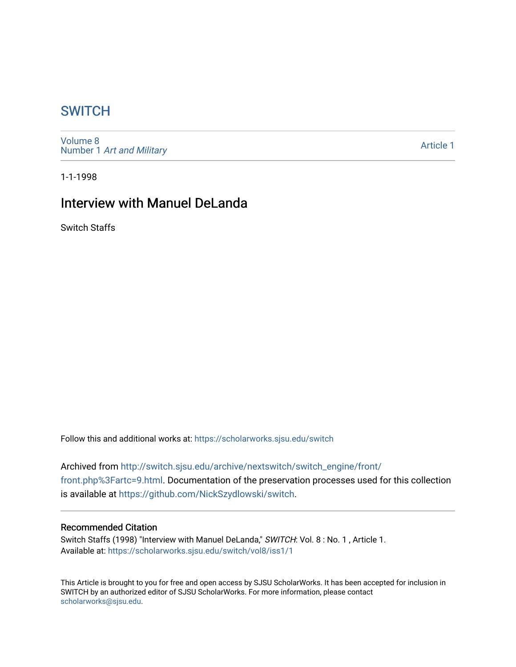## **SWITCH**

[Volume 8](https://scholarworks.sjsu.edu/switch/vol8) Number 1 [Art and Military](https://scholarworks.sjsu.edu/switch/vol8/iss1) 

[Article 1](https://scholarworks.sjsu.edu/switch/vol8/iss1/1) 

1-1-1998

# Interview with Manuel DeLanda

Switch Staffs

Follow this and additional works at: [https://scholarworks.sjsu.edu/switch](https://scholarworks.sjsu.edu/switch?utm_source=scholarworks.sjsu.edu%2Fswitch%2Fvol8%2Fiss1%2F1&utm_medium=PDF&utm_campaign=PDFCoverPages)

Archived from [http://switch.sjsu.edu/archive/nextswitch/switch\\_engine/front/](http://switch.sjsu.edu/archive/nextswitch/switch_engine/front/front.php%3Fartc=9.html) [front.php%3Fartc=9.html](http://switch.sjsu.edu/archive/nextswitch/switch_engine/front/front.php%3Fartc=9.html). Documentation of the preservation processes used for this collection is available at<https://github.com/NickSzydlowski/switch>.

### Recommended Citation

Switch Staffs (1998) "Interview with Manuel DeLanda," SWITCH: Vol. 8: No. 1, Article 1. Available at: [https://scholarworks.sjsu.edu/switch/vol8/iss1/1](https://scholarworks.sjsu.edu/switch/vol8/iss1/1?utm_source=scholarworks.sjsu.edu%2Fswitch%2Fvol8%2Fiss1%2F1&utm_medium=PDF&utm_campaign=PDFCoverPages)

This Article is brought to you for free and open access by SJSU ScholarWorks. It has been accepted for inclusion in SWITCH by an authorized editor of SJSU ScholarWorks. For more information, please contact [scholarworks@sjsu.edu](mailto:scholarworks@sjsu.edu).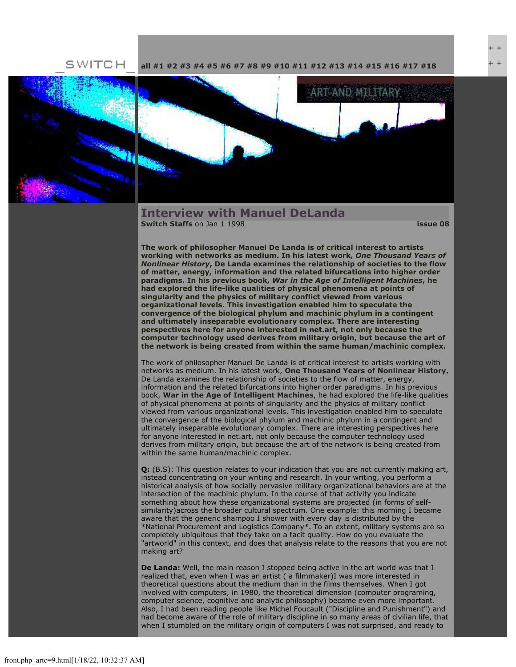**[all](file:///Users/nszydlowski/Desktop/websites%20copy/Switch%20Journal/switch.sjsu.edu/archive/nextswitch/switch_engine/front/front.php.html) [#1](file:///Users/nszydlowski/Desktop/websites%20copy/Switch%20Journal/switch.sjsu.edu/archive/nextswitch/switch_engine/front/front.php_cat%3d5.html) [#2](file:///Users/nszydlowski/Desktop/websites%20copy/Switch%20Journal/switch.sjsu.edu/archive/nextswitch/switch_engine/front/front.php_cat%3d6.html) [#3](file:///Users/nszydlowski/Desktop/websites%20copy/Switch%20Journal/switch.sjsu.edu/archive/nextswitch/switch_engine/front/front.php_cat%3d7.html) [#4](file:///Users/nszydlowski/Desktop/websites%20copy/Switch%20Journal/switch.sjsu.edu/archive/nextswitch/switch_engine/front/front.php_cat%3d8.html) [#5](file:///Users/nszydlowski/Desktop/websites%20copy/Switch%20Journal/switch.sjsu.edu/archive/nextswitch/switch_engine/front/front.php_cat%3d9.html) [#6](file:///Users/nszydlowski/Desktop/websites%20copy/Switch%20Journal/switch.sjsu.edu/archive/nextswitch/switch_engine/front/front.php_cat%3d10.html) [#7](file:///Users/nszydlowski/Desktop/websites%20copy/Switch%20Journal/switch.sjsu.edu/archive/nextswitch/switch_engine/front/front.php_cat%3d11.html) [#8](file:///Users/nszydlowski/Desktop/websites%20copy/Switch%20Journal/switch.sjsu.edu/archive/nextswitch/switch_engine/front/front.php_cat%3d12.html) [#9](file:///Users/nszydlowski/Desktop/websites%20copy/Switch%20Journal/switch.sjsu.edu/archive/nextswitch/switch_engine/front/front.php_cat%3d13.html) [#10](file:///Users/nszydlowski/Desktop/websites%20copy/Switch%20Journal/switch.sjsu.edu/archive/nextswitch/switch_engine/front/front.php_cat%3d14.html) [#11](file:///Users/nszydlowski/Desktop/websites%20copy/Switch%20Journal/switch.sjsu.edu/archive/nextswitch/switch_engine/front/front.php_cat%3d15.html) [#12](file:///Users/nszydlowski/Desktop/websites%20copy/Switch%20Journal/switch.sjsu.edu/archive/nextswitch/switch_engine/front/front.php_cat%3d16.html) [#13](file:///Users/nszydlowski/Desktop/websites%20copy/Switch%20Journal/switch.sjsu.edu/archive/nextswitch/switch_engine/front/front.php_cat%3d17.html) [#14](file:///Users/nszydlowski/Desktop/websites%20copy/Switch%20Journal/switch.sjsu.edu/archive/nextswitch/switch_engine/front/front.php_cat%3d18.html) [#15](file:///Users/nszydlowski/Desktop/websites%20copy/Switch%20Journal/switch.sjsu.edu/archive/nextswitch/switch_engine/front/front.php_cat%3d19.html) [#16](file:///Users/nszydlowski/Desktop/websites%20copy/Switch%20Journal/switch.sjsu.edu/archive/nextswitch/switch_engine/front/front.php_cat%3d20.html) [#17](file:///Users/nszydlowski/Desktop/websites%20copy/Switch%20Journal/switch.sjsu.edu/archive/nextswitch/switch_engine/front/front.php_cat%3d21.html) [#18](file:///Users/nszydlowski/Desktop/websites%20copy/Switch%20Journal/switch.sjsu.edu/archive/nextswitch/switch_engine/front/front.php_cat%3d44.html)**



SWITCH



#### **Interview with Manuel DeLanda [Switch Staffs](file:///Users/nszydlowski/Desktop/websites%20copy/Switch%20Journal/switch.sjsu.edu/archive/nextswitch/switch_engine/front/users.php_w%3d12.html)** on Jan 1 1998 **[issue 08](file:///Users/nszydlowski/Desktop/websites%20copy/Switch%20Journal/switch.sjsu.edu/archive/nextswitch/switch_engine/front/front.php_cat%3d12.html)**

+ + + +

**The work of philosopher Manuel De Landa is of critical interest to artists working with networks as medium. In his latest work,** *One Thousand Years of Nonlinear History***, De Landa examines the relationship of societies to the flow of matter, energy, information and the related bifurcations into higher order paradigms. In his previous book,** *War in the Age of Intelligent Machines***, he had explored the life-like qualities of physical phenomena at points of singularity and the physics of military conflict viewed from various organizational levels. This investigation enabled him to speculate the convergence of the biological phylum and machinic phylum in a contingent and ultimately inseparable evolutionary complex. There are interesting perspectives here for anyone interested in net.art, not only because the computer technology used derives from military origin, but because the art of the network is being created from within the same human/machinic complex.** 

The work of philosopher Manuel De Landa is of critical interest to artists working with networks as medium. In his latest work, **[One Thousand Years of Nonlinear History](file:///Users/nszydlowski/Desktop/websites%20copy/Switch%20Journal/switch.sjsu.edu/nextswitch/switch_engine/front/stillmane141.html?link7=http://www.amazon.com/exec/obidos/ISBN=0942299310/5950-5446332-334907)**, De Landa examines the relationship of societies to the flow of matter, energy, information and the related bifurcations into higher order paradigms. In his previous book, **[War in the Age of Intelligent Machines](file:///Users/nszydlowski/Desktop/websites%20copy/Switch%20Journal/switch.sjsu.edu/nextswitch/switch_engine/front/stillman1f00.html?link8=http://www.amazon.com/exec/obidos/ISBN=0942299752/5950-5446332-334907)**, he had explored the life-like qualities of physical phenomena at points of singularity and the physics of military conflict viewed from various organizational levels. This investigation enabled him to speculate the convergence of the biological phylum and machinic phylum in a contingent and ultimately inseparable evolutionary complex. There are interesting perspectives here for anyone interested in net.art, not only because the computer technology used derives from military origin, but because the art of the network is being created from within the same human/machinic complex.

**Q:** (B.S): This question relates to your indication that you are not currently making art, instead concentrating on your writing and research. In your writing, you perform a historical analysis of how socially pervasive military organizational behaviors are at the intersection of the machinic phylum. In the course of that activity you indicate something about how these organizational systems are projected (in forms of selfsimilarity)across the broader cultural spectrum. One example: this morning I became aware that the generic shampoo I shower with every day is distributed by the \*National Procurement and Logistics Company\*. To an extent, military systems are so completely ubiquitous that they take on a tacit quality. How do you evaluate the "artworld" in this context, and does that analysis relate to the reasons that you are not making art?

**De Landa:** Well, the main reason I stopped being active in the art world was that I realized that, even when I was an artist ( a filmmaker)I was more interested in theoretical questions about the medium than in the films themselves. When I got involved with computers, in 1980, the theoretical dimension (computer programing, computer science, cognitive and analytic philosophy) became even more important. Also, I had been reading people like Michel Foucault ("Discipline and Punishment") and had become aware of the role of military discipline in so many areas of civilian life, that when I stumbled on the military origin of computers I was not surprised, and ready to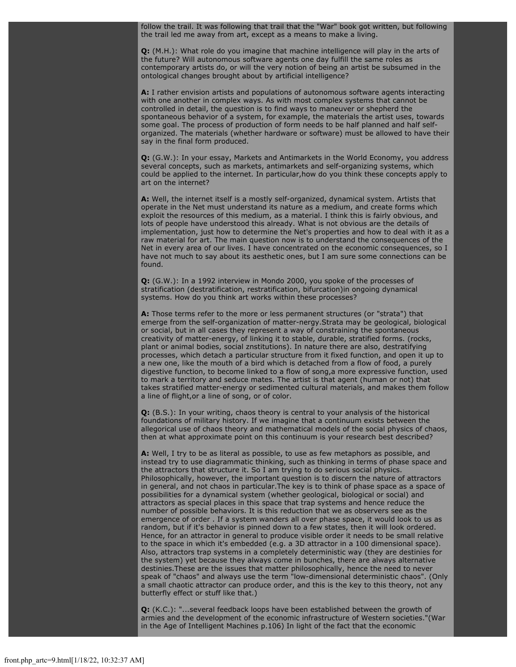follow the trail. It was following that trail that the "War" book got written, but following the trail led me away from art, except as a means to make a living.

**Q:** (M.H.): What role do you imagine that machine intelligence will play in the arts of the future? Will autonomous software agents one day fulfill the same roles as contemporary artists do, or will the very notion of being an artist be subsumed in the ontological changes brought about by artificial intelligence?

**A:** I rather envision artists and populations of autonomous software agents interacting with one another in complex ways. As with most complex systems that cannot be controlled in detail, the question is to find ways to maneuver or shepherd the spontaneous behavior of a system, for example, the materials the artist uses, towards some goal. The process of production of form needs to be half planned and half selforganized. The materials (whether hardware or software) must be allowed to have their say in the final form produced.

**Q:** (G.W.): In your essay, Markets and Antimarkets in the World Economy, you address several concepts, such as markets, antimarkets and self-organizing systems, which could be applied to the internet. In particular,how do you think these concepts apply to art on the internet?

**A:** Well, the internet itself is a mostly self-organized, dynamical system. Artists that operate in the Net must understand its nature as a medium, and create forms which exploit the resources of this medium, as a material. I think this is fairly obvious, and lots of people have understood this already. What is not obvious are the details of implementation, just how to determine the Net's properties and how to deal with it as a raw material for art. The main question now is to understand the consequences of the Net in every area of our lives. I have concentrated on the economic consequences, so I have not much to say about its aesthetic ones, but I am sure some connections can be found.

**Q:** (G.W.): In a 1992 interview in Mondo 2000, you spoke of the processes of stratification (destratification, restratification, bifurcation)in ongoing dynamical systems. How do you think art works within these processes?

**A:** Those terms refer to the more or less permanent structures (or "strata") that emerge from the self-organization of matter-nergy.Strata may be geological, biological or social, but in all cases they represent a way of constraining the spontaneous creativity of matter-energy, of linking it to stable, durable, stratified forms. (rocks, plant or animal bodies, social znstitutions). In nature there are also, destratifying processes, which detach a particular structure from it fixed function, and open it up to a new one, like the mouth of a bird which is detached from a flow of food, a purely digestive function, to become linked to a flow of song,a more expressive function, used to mark a territory and seduce mates. The artist is that agent (human or not) that takes stratified matter-energy or sedimented cultural materials, and makes them follow a line of flight,or a line of song, or of color.

**Q:** (B.S.): In your writing, chaos theory is central to your analysis of the historical foundations of military history. If we imagine that a continuum exists between the allegorical use of chaos theory and mathematical models of the social physics of chaos, then at what approximate point on this continuum is your research best described?

**A:** Well, I try to be as literal as possible, to use as few metaphors as possible, and instead try to use diagrammatic thinking, such as thinking in terms of phase space and the attractors that structure it. So I am trying to do serious social physics. Philosophically, however, the important question is to discern the nature of attractors in general, and not chaos in particular.The key is to think of phase space as a space of possibilities for a dynamical system (whether geological, biological or social) and attractors as special places in this space that trap systems and hence reduce the number of possible behaviors. It is this reduction that we as observers see as the emergence of order . If a system wanders all over phase space, it would look to us as random, but if it's behavior is pinned down to a few states, then it will look ordered. Hence, for an attractor in general to produce visible order it needs to be small relative to the space in which it's embedded (e.g. a 3D attractor in a 100 dimensional space). Also, attractors trap systems in a completely deterministic way (they are destinies for the system) yet because they always come in bunches, there are always alternative destinies.These are the issues that matter philosophically, hence the need to never speak of "chaos" and always use the term "low-dimensional deterministic chaos". (Only a small chaotic attractor can produce order, and this is the key to this theory, not any butterfly effect or stuff like that.)

**Q:** (K.C.): "...several feedback loops have been established between the growth of armies and the development of the economic infrastructure of Western societies."(War in the Age of Intelligent Machines p.106) In light of the fact that the economic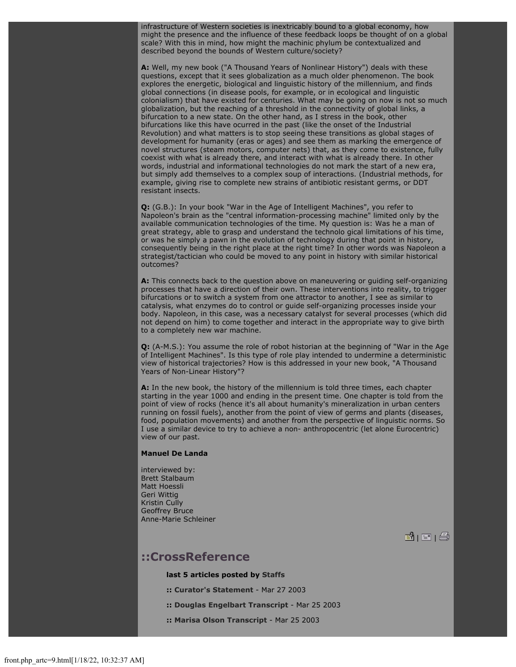infrastructure of Western societies is inextricably bound to a global economy, how might the presence and the influence of these feedback loops be thought of on a global scale? With this in mind, how might the machinic phylum be contextualized and described beyond the bounds of Western culture/society?

**A:** Well, my new book ("A Thousand Years of Nonlinear History") deals with these questions, except that it sees globalization as a much older phenomenon. The book explores the energetic, biological and linguistic history of the millennium, and finds global connections (in disease pools, for example, or in ecological and linguistic colonialism) that have existed for centuries. What may be going on now is not so much globalization, but the reaching of a threshold in the connectivity of global links, a bifurcation to a new state. On the other hand, as I stress in the book, other bifurcations like this have ocurred in the past (like the onset of the Industrial Revolution) and what matters is to stop seeing these transitions as global stages of development for humanity (eras or ages) and see them as marking the emergence of novel structures (steam motors, computer nets) that, as they come to existence, fully coexist with what is already there, and interact with what is already there. In other words, industrial and informational technologies do not mark the start of a new era, but simply add themselves to a complex soup of interactions. (Industrial methods, for example, giving rise to complete new strains of antibiotic resistant germs, or DDT resistant insects.

**Q:** (G.B.): In your book "War in the Age of Intelligent Machines", you refer to Napoleon's brain as the "central information-processing machine" limited only by the available communication technologies of the time. My question is: Was he a man of great strategy, able to grasp and understand the technolo gical limitations of his time, or was he simply a pawn in the evolution of technology during that point in history, consequently being in the right place at the right time? In other words was Napoleon a strategist/tactician who could be moved to any point in history with similar historical outcomes?

**A:** This connects back to the question above on maneuvering or guiding self-organizing processes that have a direction of their own. These interventions into reality, to trigger bifurcations or to switch a system from one attractor to another, I see as similar to catalysis, what enzymes do to control or guide self-organizing processes inside your body. Napoleon, in this case, was a necessary catalyst for several processes (which did not depend on him) to come together and interact in the appropriate way to give birth to a completely new war machine.

**Q:** (A-M.S.): You assume the role of robot historian at the beginning of "War in the Age of Intelligent Machines". Is this type of role play intended to undermine a deterministic view of historical trajectories? How is this addressed in your new book, "A Thousand Years of Non-Linear History"?

**A:** In the new book, the history of the millennium is told three times, each chapter starting in the year 1000 and ending in the present time. One chapter is told from the point of view of rocks (hence it's all about humanity's mineralization in urban centers running on fossil fuels), another from the point of view of germs and plants (diseases, food, population movements) and another from the perspective of linguistic norms. So I use a similar device to try to achieve a non- anthropocentric (let alone Eurocentric) view of our past.

#### **Manuel De Landa**

interviewed by: Brett Stalbaum Matt Hoessli Geri Wittig Kristin Cully Geoffrey Bruce Anne-Marie Schleiner

**B** | E | ②

### **::CrossReference**

**last 5 articles posted by [Staffs](file:///Users/nszydlowski/Desktop/websites%20copy/Switch%20Journal/switch.sjsu.edu/archive/nextswitch/switch_engine/front/users.php_w%3d12.html)**

- **:: [Curator's Statement](file:///Users/nszydlowski/Desktop/websites%20copy/Switch%20Journal/switch.sjsu.edu/archive/nextswitch/switch_engine/front/front.php_artc%3d281.html)** Mar 27 2003
- **:: [Douglas Engelbart Transcript](file:///Users/nszydlowski/Desktop/websites%20copy/Switch%20Journal/switch.sjsu.edu/archive/nextswitch/switch_engine/front/front.php_artc%3d279.html)** Mar 25 2003
- **:: [Marisa Olson Transcript](file:///Users/nszydlowski/Desktop/websites%20copy/Switch%20Journal/switch.sjsu.edu/archive/nextswitch/switch_engine/front/front.php_artc%3d278.html)** Mar 25 2003